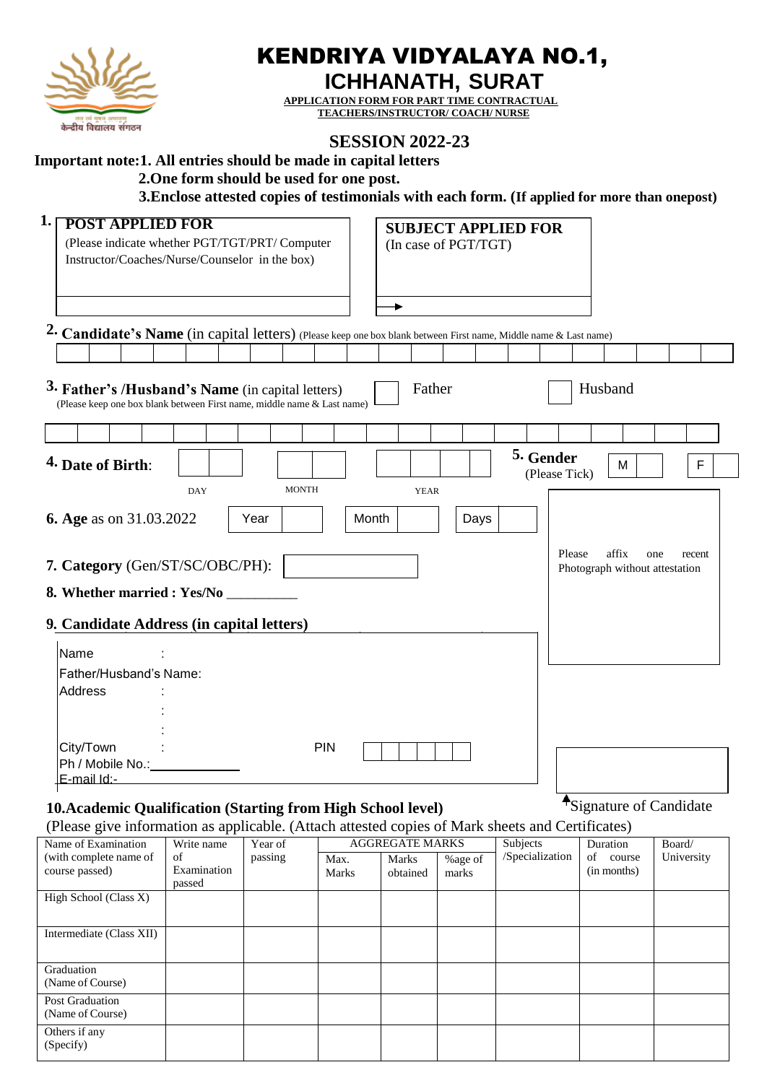

# KENDRIYA VIDYALAYA NO.1,

**ICHHANATH, SURAT**

**APPLICATION FORM FOR PART TIME CONTRACTUAL TEACHERS/INSTRUCTOR/ COACH/ NURSE**

## **SESSION 2022-23**

## **Important note:1. All entries should be made in capital letters**

 **2.One form should be used for one post.**

 **3.Enclose attested copies of testimonials with each form. (If applied for more than onepost)**

| 1.<br><b>POST APPLIED FOR</b><br>(Please indicate whether PGT/TGT/PRT/ Computer<br>Instructor/Coaches/Nurse/Counselor in the box) |                   |              |               |                        | (In case of PGT/TGT) | <b>SUBJECT APPLIED FOR</b> |                                                   |               |
|-----------------------------------------------------------------------------------------------------------------------------------|-------------------|--------------|---------------|------------------------|----------------------|----------------------------|---------------------------------------------------|---------------|
|                                                                                                                                   |                   |              |               | ۰                      |                      |                            |                                                   |               |
| 2. Candidate's Name (in capital letters) (Please keep one box blank between First name, Middle name & Last name)                  |                   |              |               |                        |                      |                            |                                                   |               |
| 3. Father's /Husband's Name (in capital letters)<br>(Please keep one box blank between First name, middle name & Last name)       |                   |              |               | Father                 |                      |                            | Husband                                           |               |
|                                                                                                                                   |                   |              |               |                        |                      |                            |                                                   |               |
| 4. Date of Birth:                                                                                                                 |                   |              |               |                        |                      | 5. Gender<br>(Please Tick) | M                                                 | F             |
|                                                                                                                                   | <b>DAY</b>        | <b>MONTH</b> |               | <b>YEAR</b>            |                      |                            |                                                   |               |
| 6. Age as on 31.03.2022                                                                                                           |                   | Year         | Month         |                        | Days                 |                            |                                                   |               |
| 7. Category (Gen/ST/SC/OBC/PH):<br>8. Whether married : Yes/No _<br>9. Candidate Address (in capital letters)                     |                   |              |               |                        |                      |                            | Please<br>affix<br>Photograph without attestation | one<br>recent |
| Name                                                                                                                              |                   |              |               |                        |                      |                            |                                                   |               |
| Father/Husband's Name:<br>Address                                                                                                 |                   |              |               |                        |                      |                            |                                                   |               |
| City/Town<br>Ph / Mobile No.:<br>E-mail Id:-                                                                                      |                   |              | <b>PIN</b>    |                        |                      |                            |                                                   |               |
| 10. Academic Qualification (Starting from High School level)                                                                      |                   |              |               |                        |                      |                            | <sup>•</sup> Signature of Candidate               |               |
| (Please give information as applicable. (Attach attested copies of Mark sheets and Certificates)<br>Name of Examination           | Write name        | Year of      |               | <b>AGGREGATE MARKS</b> |                      | Subjects                   | Duration                                          | Board/        |
| (with complete name of<br>course passed)                                                                                          | of<br>Examination | passing      | Max.<br>Marks | Marks<br>obtained      | %age of<br>marks     | /Specialization            | of course<br>(in months)                          | University    |

| course passeu)                      | еланшанон<br>passed | Marks | obtained | marks | (III IIIOIIUIS) |  |
|-------------------------------------|---------------------|-------|----------|-------|-----------------|--|
| High School (Class X)               |                     |       |          |       |                 |  |
| Intermediate (Class XII)            |                     |       |          |       |                 |  |
| Graduation<br>(Name of Course)      |                     |       |          |       |                 |  |
| Post Graduation<br>(Name of Course) |                     |       |          |       |                 |  |
| Others if any<br>(Specify)          |                     |       |          |       |                 |  |